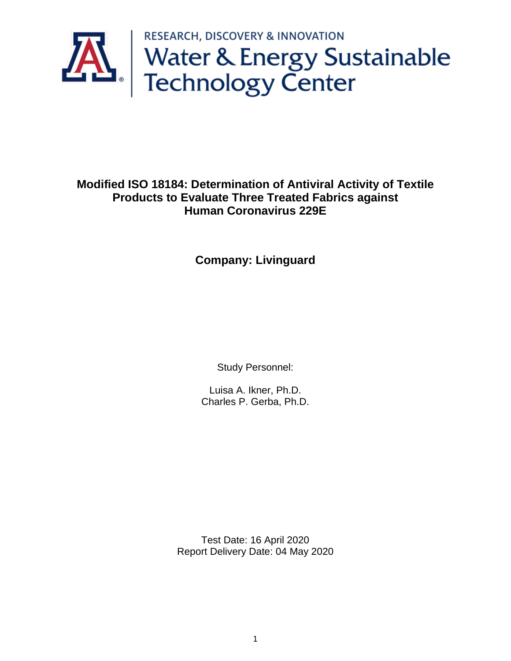

**Modified ISO 18184: Determination of Antiviral Activity of Textile Products to Evaluate Three Treated Fabrics against Human Coronavirus 229E** 

**Company: Livinguard**

Study Personnel:

Luisa A. Ikner, Ph.D. Charles P. Gerba, Ph.D.

Test Date: 16 April 2020 Report Delivery Date: 04 May 2020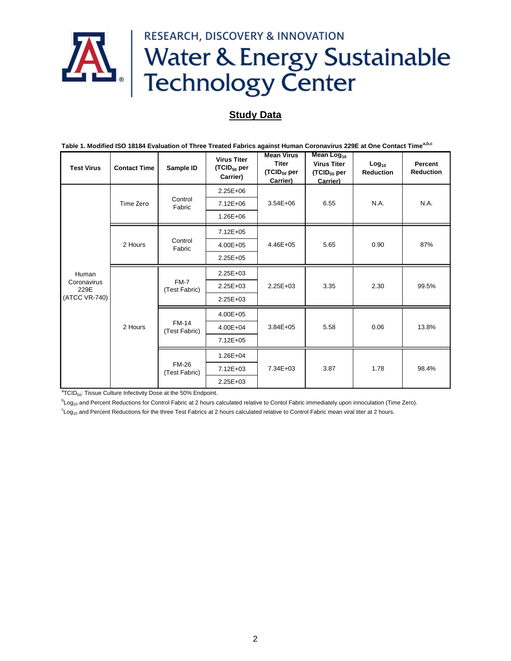

## **Study Data**

| Table 1. Modified ISO 18184 Evaluation of Three Treated Fabrics against Human Coronavirus 229E at One Contact Time <sup>a,b,c</sup> |                     |                               |                                                           |                                                                          |                                                                                     |                                       |                             |
|-------------------------------------------------------------------------------------------------------------------------------------|---------------------|-------------------------------|-----------------------------------------------------------|--------------------------------------------------------------------------|-------------------------------------------------------------------------------------|---------------------------------------|-----------------------------|
| <b>Test Virus</b>                                                                                                                   | <b>Contact Time</b> | Sample ID                     | <b>Virus Titer</b><br>(TCID <sub>50</sub> per<br>Carrier) | <b>Mean Virus</b><br><b>Titer</b><br>(TCID <sub>50</sub> per<br>Carrier) | Mean Log <sub>10</sub><br><b>Virus Titer</b><br>(TCID <sub>50</sub> per<br>Carrier) | Log <sub>10</sub><br><b>Reduction</b> | Percent<br><b>Reduction</b> |
| Human<br>Coronavirus<br>229E<br>(ATCC VR-740)                                                                                       | Time Zero           | Control<br>Fabric             | $2.25E + 06$                                              | $3.54E + 06$                                                             | 6.55                                                                                | N.A.                                  | N.A.                        |
|                                                                                                                                     |                     |                               | $7.12E + 06$                                              |                                                                          |                                                                                     |                                       |                             |
|                                                                                                                                     |                     |                               | $1.26E + 06$                                              |                                                                          |                                                                                     |                                       |                             |
|                                                                                                                                     | 2 Hours             | Control<br>Fabric             | 7.12E+05                                                  | 4.46E+05                                                                 | 5.65                                                                                | 0.90                                  | 87%                         |
|                                                                                                                                     |                     |                               | 4.00E+05                                                  |                                                                          |                                                                                     |                                       |                             |
|                                                                                                                                     |                     |                               | $2.25E + 05$                                              |                                                                          |                                                                                     |                                       |                             |
|                                                                                                                                     | 2 Hours             | FM-7<br>(Test Fabric)         | 2.25E+03                                                  | $2.25E + 03$                                                             | 3.35                                                                                | 2.30                                  | 99.5%                       |
|                                                                                                                                     |                     |                               | 2.25E+03                                                  |                                                                          |                                                                                     |                                       |                             |
|                                                                                                                                     |                     |                               | $2.25E + 03$                                              |                                                                          |                                                                                     |                                       |                             |
|                                                                                                                                     |                     | <b>FM-14</b><br>(Test Fabric) | 4.00E+05                                                  | $3.84E + 05$                                                             | 5.58                                                                                | 0.06                                  | 13.8%                       |
|                                                                                                                                     |                     |                               | 4.00E+04                                                  |                                                                          |                                                                                     |                                       |                             |
|                                                                                                                                     |                     |                               | $7.12E + 05$                                              |                                                                          |                                                                                     |                                       |                             |
|                                                                                                                                     |                     | <b>FM-26</b><br>(Test Fabric) | $1.26E + 04$                                              | 7.34E+03                                                                 | 3.87                                                                                | 1.78                                  | 98.4%                       |
|                                                                                                                                     |                     |                               | 7.12E+03                                                  |                                                                          |                                                                                     |                                       |                             |
|                                                                                                                                     |                     |                               | 2.25E+03                                                  |                                                                          |                                                                                     |                                       |                             |

 ${}^{a}$ TCID<sub>50</sub>: Tissue Culture Infectivity Dose at the 50% Endpoint.

 $b_{Log_{10}}$  and Percent Reductions for Control Fabric at 2 hours calculated relative to Contol Fabric immediately upon innoculation (Time Zero).

 $c_{\text{Log}_{10}}$  and Percent Reductions for the three Test Fabrics at 2 hours calculated relative to Control Fabric mean viral titer at 2 hours.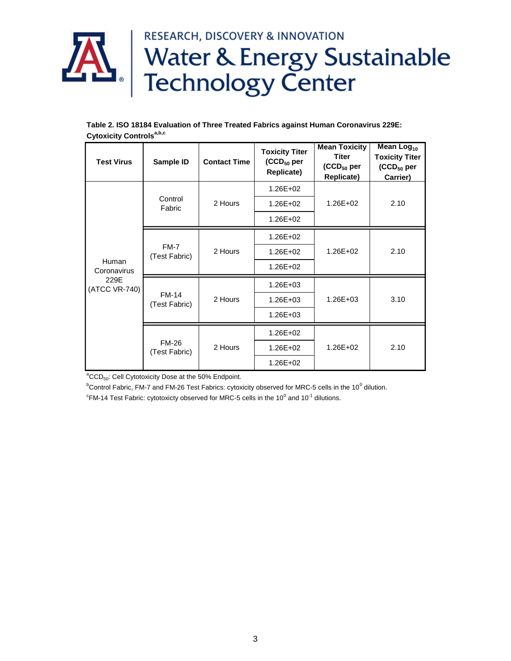# RESEARCH, DISCOVERY & INNOVATION **AL** | RESEARCH, DISCOVERY & INNOVATION<br>
Technology Center

|                                      | Table 2. ISO 18184 Evaluation of Three Treated Fabrics against Human Coronavirus 229E: |
|--------------------------------------|----------------------------------------------------------------------------------------|
| Cytoxicity Controls <sup>a,b,c</sup> |                                                                                        |

| <b>Test Virus</b>                             | Sample ID                     | <b>Contact Time</b> | <b>Toxicity Titer</b><br>$(CCD_{50}$ per<br>Replicate) | <b>Mean Toxicity</b><br>Titer<br>(CCD <sub>50</sub> per<br>Replicate) | Mean $Log10$<br><b>Toxicity Titer</b><br>$(CCD_{50}$ per<br>Carrier) |
|-----------------------------------------------|-------------------------------|---------------------|--------------------------------------------------------|-----------------------------------------------------------------------|----------------------------------------------------------------------|
| Human<br>Coronavirus<br>229E<br>(ATCC VR-740) | Control<br>Fabric             | 2 Hours             | 1.26E+02                                               |                                                                       | 2.10                                                                 |
|                                               |                               |                     | $1.26E + 02$                                           | $1.26E + 02$                                                          |                                                                      |
|                                               |                               |                     | 1.26E+02                                               |                                                                       |                                                                      |
|                                               | FM-7<br>(Test Fabric)         | 2 Hours             | 1.26E+02                                               |                                                                       | 2.10                                                                 |
|                                               |                               |                     | 1.26E+02                                               | $1.26E + 02$                                                          |                                                                      |
|                                               |                               |                     | 1.26E+02                                               |                                                                       |                                                                      |
|                                               | <b>FM-14</b><br>(Test Fabric) | 2 Hours             | 1.26E+03                                               |                                                                       | 3.10                                                                 |
|                                               |                               |                     | $1.26E + 03$                                           | 1.26E+03                                                              |                                                                      |
|                                               |                               |                     | $1.26E + 03$                                           |                                                                       |                                                                      |
|                                               | <b>FM-26</b><br>(Test Fabric) | 2 Hours             | 1.26E+02                                               |                                                                       | 2.10                                                                 |
|                                               |                               |                     | $1.26E + 02$                                           | $1.26E + 02$                                                          |                                                                      |
|                                               |                               |                     | $1.26E + 02$                                           |                                                                       |                                                                      |

 ${}^{a}CCD_{50}$ : Cell Cytotoxicity Dose at the 50% Endpoint.

 $^{\rm b}$ Control Fabric, FM-7 and FM-26 Test Fabrics: cytoxicity observed for MRC-5 cells in the 10<sup>0</sup> dilution.

 $\mathrm{^cFM}$ -14 Test Fabric: cytotoxicty observed for MRC-5 cells in the 10<sup>0</sup> and 10<sup>-1</sup> dilutions.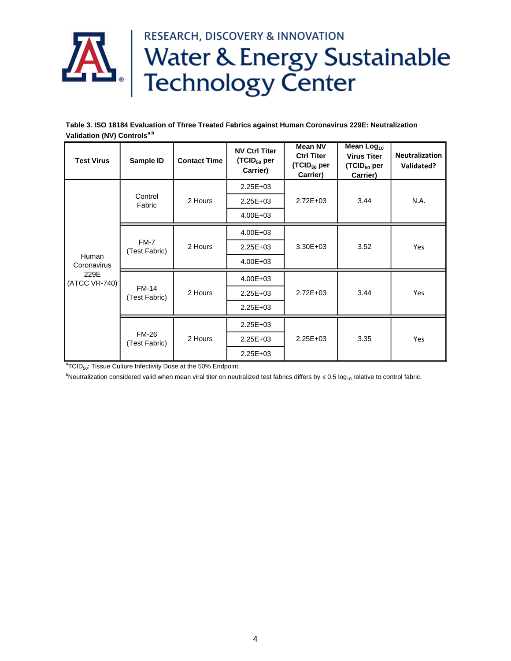

# **AL** | RESEARCH, DISCOVERY & INNOVATION<br>Technology Center **RESEARCH, DISCOVERY & INNOVATION**

**Table 3. ISO 18184 Evaluation of Three Treated Fabrics against Human Coronavirus 229E: Neutralization Validation (NV) Controlsa,b**

| <b>Test Virus</b>                             | Sample ID                     | <b>Contact Time</b> | <b>NV Ctrl Titer</b><br>$(TCID50$ per<br>Carrier) | <b>Mean NV</b><br><b>Ctrl Titer</b><br>(TCID <sub>50</sub> per<br>Carrier) | Mean Log <sub>10</sub><br><b>Virus Titer</b><br>(TCID <sub>50</sub> per<br>Carrier) | <b>Neutralization</b><br>Validated? |
|-----------------------------------------------|-------------------------------|---------------------|---------------------------------------------------|----------------------------------------------------------------------------|-------------------------------------------------------------------------------------|-------------------------------------|
| Human<br>Coronavirus<br>229E<br>(ATCC VR-740) | Control<br>Fabric             | 2 Hours             | $2.25E + 03$                                      | $2.72E + 03$                                                               | 3.44                                                                                | N.A.                                |
|                                               |                               |                     | 2.25E+03                                          |                                                                            |                                                                                     |                                     |
|                                               |                               |                     | $4.00E + 03$                                      |                                                                            |                                                                                     |                                     |
|                                               | $FM-7$<br>(Test Fabric)       | 2 Hours             | 4.00E+03                                          | $3.30E + 03$                                                               | 3.52                                                                                | Yes                                 |
|                                               |                               |                     | $2.25E + 03$                                      |                                                                            |                                                                                     |                                     |
|                                               |                               |                     | $4.00E + 03$                                      |                                                                            |                                                                                     |                                     |
|                                               | <b>FM-14</b><br>(Test Fabric) | 2 Hours             | 4.00E+03                                          | $2.72E + 03$                                                               | 3.44                                                                                | Yes                                 |
|                                               |                               |                     | $2.25E + 03$                                      |                                                                            |                                                                                     |                                     |
|                                               |                               |                     | $2.25E + 03$                                      |                                                                            |                                                                                     |                                     |
|                                               | <b>FM-26</b><br>(Test Fabric) | 2 Hours             | $2.25E + 03$                                      | $2.25E + 03$                                                               | 3.35                                                                                | Yes                                 |
|                                               |                               |                     | $2.25E + 03$                                      |                                                                            |                                                                                     |                                     |
|                                               |                               |                     | 2.25E+03                                          |                                                                            |                                                                                     |                                     |

 ${}^{a}$ TCID<sub>50</sub>: Tissue Culture Infectivity Dose at the 50% Endpoint.

bNeutralization considered valid when mean viral titer on neutralized test fabrics differs by ≤ 0.5 log<sub>10</sub> relative to control fabric.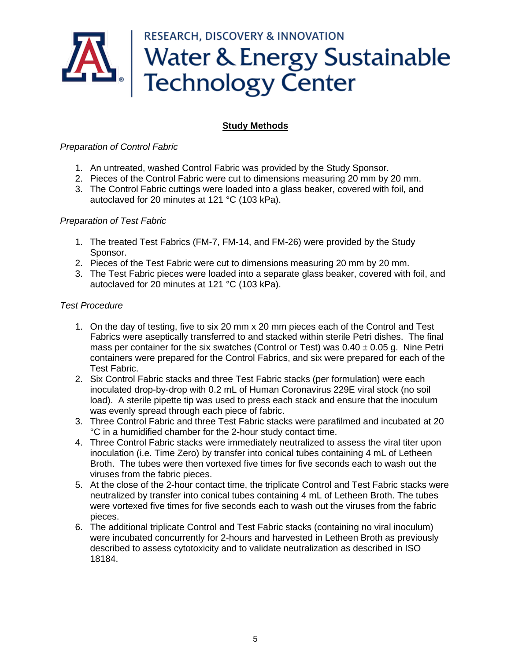# **RESEARCH, DISCOVERY & INNOVATION** Water & Energy Sustainable<br>Technology Center

### **Study Methods**

#### *Preparation of Control Fabric*

- 1. An untreated, washed Control Fabric was provided by the Study Sponsor.
- 2. Pieces of the Control Fabric were cut to dimensions measuring 20 mm by 20 mm.
- 3. The Control Fabric cuttings were loaded into a glass beaker, covered with foil, and autoclaved for 20 minutes at 121 °C (103 kPa).

#### *Preparation of Test Fabric*

- 1. The treated Test Fabrics (FM-7, FM-14, and FM-26) were provided by the Study Sponsor.
- 2. Pieces of the Test Fabric were cut to dimensions measuring 20 mm by 20 mm.
- 3. The Test Fabric pieces were loaded into a separate glass beaker, covered with foil, and autoclaved for 20 minutes at 121 °C (103 kPa).

#### *Test Procedure*

- 1. On the day of testing, five to six 20 mm x 20 mm pieces each of the Control and Test Fabrics were aseptically transferred to and stacked within sterile Petri dishes. The final mass per container for the six swatches (Control or Test) was  $0.40 \pm 0.05$  g. Nine Petri containers were prepared for the Control Fabrics, and six were prepared for each of the Test Fabric.
- 2. Six Control Fabric stacks and three Test Fabric stacks (per formulation) were each inoculated drop-by-drop with 0.2 mL of Human Coronavirus 229E viral stock (no soil load). A sterile pipette tip was used to press each stack and ensure that the inoculum was evenly spread through each piece of fabric.
- 3. Three Control Fabric and three Test Fabric stacks were parafilmed and incubated at 20 °C in a humidified chamber for the 2-hour study contact time.
- 4. Three Control Fabric stacks were immediately neutralized to assess the viral titer upon inoculation (i.e. Time Zero) by transfer into conical tubes containing 4 mL of Letheen Broth. The tubes were then vortexed five times for five seconds each to wash out the viruses from the fabric pieces.
- 5. At the close of the 2-hour contact time, the triplicate Control and Test Fabric stacks were neutralized by transfer into conical tubes containing 4 mL of Letheen Broth. The tubes were vortexed five times for five seconds each to wash out the viruses from the fabric pieces.
- 6. The additional triplicate Control and Test Fabric stacks (containing no viral inoculum) were incubated concurrently for 2-hours and harvested in Letheen Broth as previously described to assess cytotoxicity and to validate neutralization as described in ISO 18184.